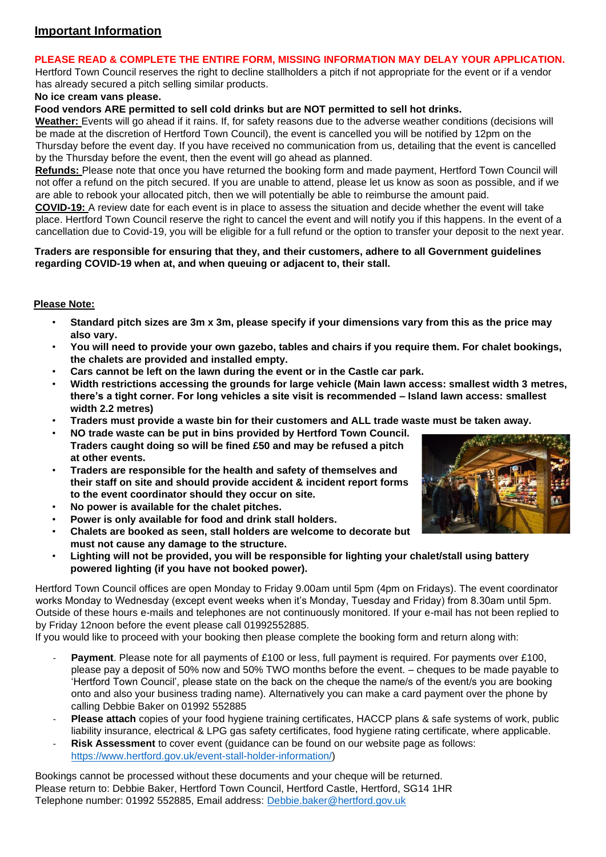# **Important Information**

### **PLEASE READ & COMPLETE THE ENTIRE FORM, MISSING INFORMATION MAY DELAY YOUR APPLICATION.**

Hertford Town Council reserves the right to decline stallholders a pitch if not appropriate for the event or if a vendor has already secured a pitch selling similar products.

#### **No ice cream vans please.**

**Food vendors ARE permitted to sell cold drinks but are NOT permitted to sell hot drinks.** 

**Weather:** Events will go ahead if it rains. If, for safety reasons due to the adverse weather conditions (decisions will be made at the discretion of Hertford Town Council), the event is cancelled you will be notified by 12pm on the Thursday before the event day. If you have received no communication from us, detailing that the event is cancelled by the Thursday before the event, then the event will go ahead as planned.

**Refunds:** Please note that once you have returned the booking form and made payment, Hertford Town Council will not offer a refund on the pitch secured. If you are unable to attend, please let us know as soon as possible, and if we are able to rebook your allocated pitch, then we will potentially be able to reimburse the amount paid.

**COVID-19:** A review date for each event is in place to assess the situation and decide whether the event will take place. Hertford Town Council reserve the right to cancel the event and will notify you if this happens. In the event of a cancellation due to Covid-19, you will be eligible for a full refund or the option to transfer your deposit to the next year.

#### **Traders are responsible for ensuring that they, and their customers, adhere to all Government guidelines regarding COVID-19 when at, and when queuing or adjacent to, their stall.**

## **Please Note:**

- **Standard pitch sizes are 3m x 3m, please specify if your dimensions vary from this as the price may also vary.**
- **You will need to provide your own gazebo, tables and chairs if you require them. For chalet bookings, the chalets are provided and installed empty.**
- **Cars cannot be left on the lawn during the event or in the Castle car park.**
- **Width restrictions accessing the grounds for large vehicle (Main lawn access: smallest width 3 metres, there's a tight corner. For long vehicles a site visit is recommended – Island lawn access: smallest width 2.2 metres)**
- **Traders must provide a waste bin for their customers and ALL trade waste must be taken away.**
- **NO trade waste can be put in bins provided by Hertford Town Council. Traders caught doing so will be fined £50 and may be refused a pitch at other events.**
- **Traders are responsible for the health and safety of themselves and their staff on site and should provide accident & incident report forms to the event coordinator should they occur on site.**
- **No power is available for the chalet pitches.**
- **Power is only available for food and drink stall holders.**
- **Chalets are booked as seen, stall holders are welcome to decorate but must not cause any damage to the structure.**
- **Lighting will not be provided, you will be responsible for lighting your chalet/stall using battery powered lighting (if you have not booked power).**

Hertford Town Council offices are open Monday to Friday 9.00am until 5pm (4pm on Fridays). The event coordinator works Monday to Wednesday (except event weeks when it's Monday, Tuesday and Friday) from 8.30am until 5pm. Outside of these hours e-mails and telephones are not continuously monitored. If your e-mail has not been replied to by Friday 12noon before the event please call 01992552885.

If you would like to proceed with your booking then please complete the booking form and return along with:

- **Payment**. Please note for all payments of £100 or less, full payment is required. For payments over £100, please pay a deposit of 50% now and 50% TWO months before the event. – cheques to be made payable to 'Hertford Town Council', please state on the back on the cheque the name/s of the event/s you are booking onto and also your business trading name). Alternatively you can make a card payment over the phone by calling Debbie Baker on 01992 552885
- **Please attach** copies of your food hygiene training certificates, HACCP plans & safe systems of work, public liability insurance, electrical & LPG gas safety certificates, food hygiene rating certificate, where applicable.
- **Risk Assessment** to cover event (quidance can be found on our website page as follows: [https://www.hertford.gov.uk/event-stall-holder-information/\)](https://www.hertford.gov.uk/event-stall-holder-information/)

Bookings cannot be processed without these documents and your cheque will be returned. Please return to: Debbie Baker, Hertford Town Council, Hertford Castle, Hertford, SG14 1HR Telephone number: 01992 552885, Email address: Debbie.baker@hertford.gov.uk

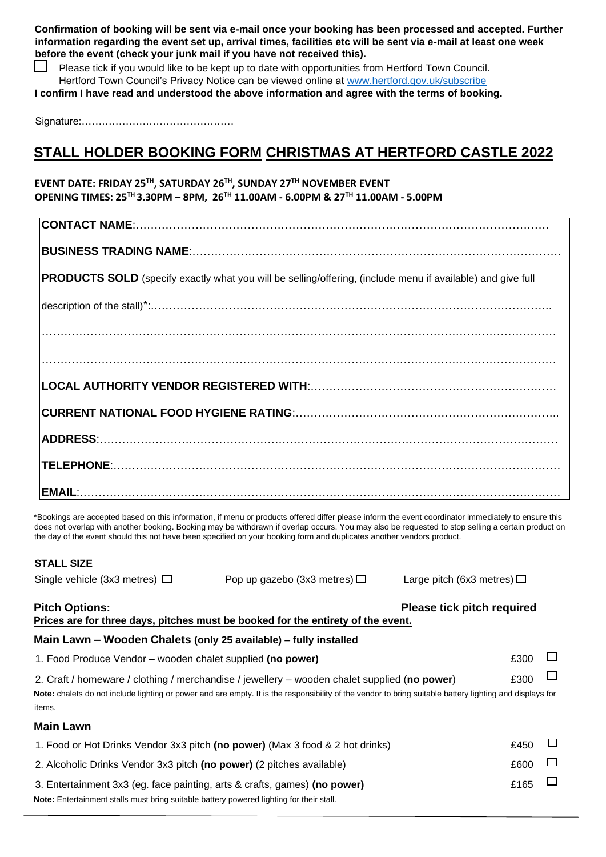**Confirmation of booking will be sent via e-mail once your booking has been processed and accepted. Further information regarding the event set up, arrival times, facilities etc will be sent via e-mail at least one week before the event (check your junk mail if you have not received this).** 

Please tick if you would like to be kept up to date with opportunities from Hertford Town Council. Hertford Town Council's Privacy Notice can be viewed online at [www.hertford.gov.uk/subscribe](http://www.hertford.gov.uk/subscribe)

**I confirm I have read and understood the above information and agree with the terms of booking.** 

Signature:………………………………………

# **STALL HOLDER BOOKING FORM CHRISTMAS AT HERTFORD CASTLE 2022**

## **EVENT DATE: FRIDAY 25 TH, SATURDAY 26 TH, SUNDAY 27 TH NOVEMBER EVENT OPENING TIMES: 25 TH 3.30PM – 8PM, 26 TH 11.00AM - 6.00PM & 27 TH 11.00AM - 5.00PM**

| <b>PRODUCTS SOLD</b> (specify exactly what you will be selling/offering, (include menu if available) and give full |
|--------------------------------------------------------------------------------------------------------------------|
|                                                                                                                    |
|                                                                                                                    |
|                                                                                                                    |
|                                                                                                                    |
|                                                                                                                    |
|                                                                                                                    |
|                                                                                                                    |
|                                                                                                                    |

\*Bookings are accepted based on this information, if menu or products offered differ please inform the event coordinator immediately to ensure this does not overlap with another booking. Booking may be withdrawn if overlap occurs. You may also be requested to stop selling a certain product on the day of the event should this not have been specified on your booking form and duplicates another vendors product.

| <b>STALL SIZE</b>                                                                                                                                                                    |                                 |                            |  |  |  |  |  |
|--------------------------------------------------------------------------------------------------------------------------------------------------------------------------------------|---------------------------------|----------------------------|--|--|--|--|--|
| Single vehicle (3x3 metres) $\Box$                                                                                                                                                   | Large pitch (6x3 metres) $\Box$ |                            |  |  |  |  |  |
| <b>Pitch Options:</b><br>Prices are for three days, pitches must be booked for the entirety of the event.                                                                            |                                 | Please tick pitch required |  |  |  |  |  |
| Main Lawn - Wooden Chalets (only 25 available) - fully installed                                                                                                                     |                                 |                            |  |  |  |  |  |
| 1. Food Produce Vendor – wooden chalet supplied (no power)                                                                                                                           |                                 |                            |  |  |  |  |  |
| £300<br>2. Craft / homeware / clothing / merchandise / jewellery – wooden chalet supplied (no power)                                                                                 |                                 |                            |  |  |  |  |  |
| Note: chalets do not include lighting or power and are empty. It is the responsibility of the vendor to bring suitable battery lighting and displays for<br>items.                   |                                 |                            |  |  |  |  |  |
| Main Lawn                                                                                                                                                                            |                                 |                            |  |  |  |  |  |
| 1. Food or Hot Drinks Vendor 3x3 pitch (no power) (Max 3 food & 2 hot drinks)                                                                                                        |                                 |                            |  |  |  |  |  |
| 2. Alcoholic Drinks Vendor 3x3 pitch (no power) (2 pitches available)                                                                                                                |                                 |                            |  |  |  |  |  |
| £165<br>3. Entertainment 3x3 (eg. face painting, arts & crafts, games) (no power)<br><b>Note:</b> Entertainment stalls must bring suitable battery powered lighting for their stall. |                                 |                            |  |  |  |  |  |